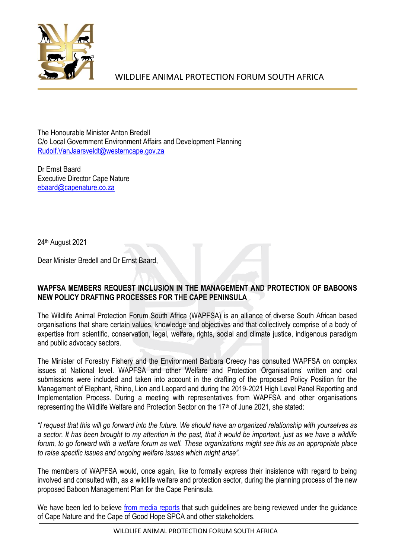

WILDLIFE ANIMAL PROTECTION FORUM SOUTH AFRICA

The Honourable Minister Anton Bredell C/o Local Government Environment Affairs and Development Planning [Rudolf.VanJaarsveldt@westerncape.gov.za](mailto:Rudolf.VanJaarsveldt@westerncape.gov.za) 

Dr Ernst Baard Executive Director Cape Nature [ebaard@capenature.co.za](mailto:ebaard@capenature.co.za) 

24th August 2021

Dear Minister Bredell and Dr Ernst Baard,

## **WAPFSA MEMBERS REQUEST INCLUSION IN THE MANAGEMENT AND PROTECTION OF BABOONS NEW POLICY DRAFTING PROCESSES FOR THE CAPE PENINSULA**

The Wildlife Animal Protection Forum South Africa (WAPFSA) is an alliance of diverse South African based organisations that share certain values, knowledge and objectives and that collectively comprise of a body of expertise from scientific, conservation, legal, welfare, rights, social and climate justice, indigenous paradigm and public advocacy sectors.

The Minister of Forestry Fishery and the Environment Barbara Creecy has consulted WAPFSA on complex issues at National level. WAPFSA and other Welfare and Protection Organisations' written and oral submissions were included and taken into account in the drafting of the proposed Policy Position for the Management of Elephant, Rhino, Lion and Leopard and during the 2019-2021 High Level Panel Reporting and Implementation Process. During a meeting with representatives from WAPFSA and other organisations representing the Wildlife Welfare and Protection Sector on the 17<sup>th</sup> of June 2021, she stated:

*"I request that this will go forward into the future. We should have an organized relationship with yourselves as a sector. It has been brought to my attention in the past, that it would be important, just as we have a wildlife forum, to go forward with a welfare forum as well. These organizations might see this as an appropriate place to raise specific issues and ongoing welfare issues which might arise".* 

The members of WAPFSA would, once again, like to formally express their insistence with regard to being involved and consulted with, as a wildlife welfare and protection sector, during the planning process of the new proposed Baboon Management Plan for the Cape Peninsula.

We have been led to believe [from media reports](https://www.news24.com/news24/southafrica/news/cape-town-reintroduces-paintball-guns-to-keep-baboons-out-of-residential-areas-20210624) that such guidelines are being reviewed under the guidance of Cape Nature and the Cape of Good Hope SPCA and other stakeholders.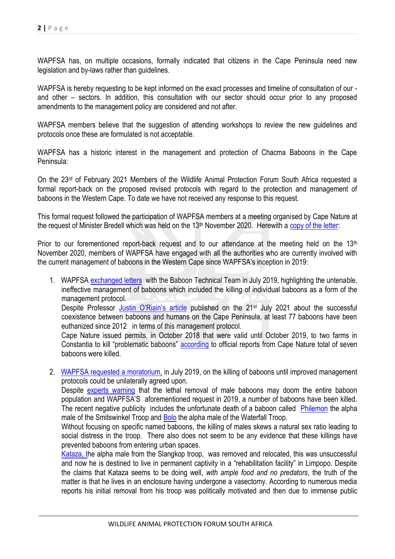WAPFSA has, on multiple occasions, formally indicated that citizens in the Cape Peninsula need new legislation and by-laws rather than guidelines.

WAPFSA is hereby requesting to be kept informed on the exact processes and timeline of consultation of our and other – sectors. In addition, this consultation with our sector should occur prior to any proposed amendments to the management policy are considered and not after.

WAPFSA members believe that the suggestion of attending workshops to review the new guidelines and protocols once these are formulated is not acceptable.

WAPFSA has a historic interest in the management and protection of Chacma Baboons in the Cape Peninsula:

On the 23rd of February 2021 Members of the Wildlife Animal Protection Forum South Africa requested a formal report-back on the proposed revised protocols with regard to the protection and management of baboons in the Western Cape. To date we have not received any response to this request.

This formal request followed the participation of WAPFSA members at a meeting organised by Cape Nature at the request of Minister Bredell which was held on the 13<sup>th</sup> November 2020. Herewith a [copy of the letter:](file:///C:/Users/megan/Desktop/WAPFSA%20REQUEST%20FOR%20FOLLOW-UP%20COMMUNICATION%20AFTER%20THE%202020%20%20MEETING%20ON%20BABOON%20MANAGEMENT.pdf)

Prior to our forementioned report-back request and to our attendance at the meeting held on the 13<sup>th</sup> November 2020, members of WAPFSA have engaged with all the authorities who are currently involved with the current management of baboons in the Western Cape since WAPFSA's inception in 2019:

- 1. WAPFSA [exchanged](file:///C:/Users/megan/Desktop/Response%20to%20BTT%2013Aug.pdf) letters with the Baboon Technical Team in July 2019, highlighting the untenable, ineffective management of baboons which included the killing of individual baboons as a form of the management protocol. Despite Professor [Justin O'Riain's article](http://www.news.uct.ac.za/article/-2021-07-21-cape-towns-baboon-programme-successful-coexistence-between-wildlife-and-urban-communities) published on the 21<sup>st</sup> July 2021 about the successful coexistence between baboons and humans on the Cape Peninsula, at least 77 baboons have been euthanized since 2012 in terms of this management protocol. Cape Nature issued permits, in October 2018 that were valid until October 2019, to two farms in Constantia to kill "problematic baboons" [according](https://www.news24.com/news24/southafrica/news/seven-baboons-killed-after-permits-granted-to-constantia-farms-20180707) to official reports from Cape Nature total of seven baboons were killed.
- 2. [WAPFSA requested a moratorium,](file:///C:/Users/megan/Desktop/Forum%20on%20Baboon%20Euthanizing150719.pdf) in July 2019, on the killing of baboons until improved management protocols could be unilaterally agreed upon.

Despite [experts warning](https://www.nationalgeographic.com/animals/article/160422-baboons-cape-town-conservation-south-africa) that the lethal removal of male baboons may doom the entire baboon population and WAPFSA'S aforementioned request in 2019, a number of baboons have been killed. The recent negative publicity includes the unfortunate death of a baboon called [Philemon](https://www.dailymaverick.co.za/article/2021-04-16-the-death-of-philemon-my-response-as-a-councillor-appointed-representative-for-baboons/) the alpha male of the Smitswinkel Troop and [Bolo](https://www.news24.com/news24/southafrica/news/city-of-cape-town-rangers-face-possible-criminal-charges-over-death-of-bolo-the-baboon-20210807) the alpha male of the Waterfall Troop.

Without focusing on specific named baboons, the killing of males skews a natural sex ratio leading to social distress in the troop. There also does not seem to be any evidence that these killings have prevented baboons from entering urban spaces.

[Kataza, th](https://www.news24.com/news24/southafrica/news/cape-nature-approves-move-to-limpopo-for-cape-town-baboon-kataza-20210116)e alpha male from the Slangkop troop, was removed and relocated, this was unsuccessful and now he is destined to live in permanent captivity in a "rehabilitation facility" in Limpopo. Despite the claims that Kataza seems to be doing well, *with ample food and no predators*, the truth of the matter is that he lives in an enclosure having undergone a vasectomy. According to numerous media reports his initial removal from his troop was politically motivated and then due to immense public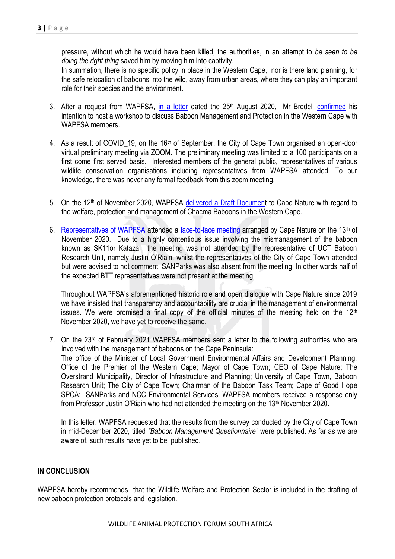pressure, without which he would have been killed, the authorities, in an attempt to *be seen to be doing the right thing* saved him by moving him into captivity.

In summation, there is no specific policy in place in the Western Cape, nor is there land planning, for the safe relocation of baboons into the wild, away from urban areas, where they can play an important role for their species and the environment.

- 3. After a request from WAPFSA, [in a letter](file:///C:/Users/megan/Desktop/Open%20Letter%20to%20Minister%20Bredell_250820.pdf) dated the 25<sup>th</sup> August 2020, Mr Bredell [confirmed](file:///C:/Users/megan/Desktop/Letter%20to%20Ms%20Falcon%20re%20MANAGEMENT%20OF%20BABOONS%20IN%20THE%20WESTERN%20CAPE.pdf) his intention to host a workshop to discuss Baboon Management and Protection in the Western Cape with WAPFSA members.
- 4. As a result of COVID 19, on the 16<sup>th</sup> of September, the City of Cape Town organised an open-door virtual preliminary meeting via ZOOM. The preliminary meeting was limited to a 100 participants on a first come first served basis. Interested members of the general public, representatives of various wildlife conservation organisations including representatives from WAPFSA attended. To our knowledge, there was never any formal feedback from this zoom meeting.
- 5. On the 12<sup>th</sup> of November 2020, WAPFSA [delivered a Draft Document](file:///C:/Users/megan/Desktop/Baboon%20Management%20in%20the%20Western%20Cape_WAPFSA%20Preliminary%20Document_12November%202020.pdf) to Cape Nature with regard to the welfare, protection and management of Chacma Baboons in the Western Cape.
- 6. [Representatives of WAPFSA](file:///C:/Users/megan/Desktop/WAPFSA%20-%20Meeting%20on%2013th%20November%20RE%20Baboon%20Management.pdf) attended a [face-to-face meeting](file:///C:/Users/megan/Desktop/Intention%20to%20hold%20a%20baboon%20management%20meeting%20November%202020%20final%202.pdf) arranged by Cape Nature on the 13<sup>th</sup> of November 2020. Due to a highly contentious issue involving the mismanagement of the baboon known as SK11or Kataza, the meeting was not attended by the representative of UCT Baboon Research Unit, namely Justin O'Riain, whilst the representatives of the City of Cape Town attended but were advised to not comment. SANParks was also absent from the meeting. In other words half of the expected BTT representatives were not present at the meeting.

Throughout WAPFSA's aforementioned historic role and open dialogue with Cape Nature since 2019 we have insisted that transparency and accountability are crucial in the management of environmental issues. We were promised a final copy of the official minutes of the meeting held on the  $12<sup>th</sup>$ November 2020, we have yet to receive the same.

7. On the 23rd of February 2021 WAPFSA members sent a letter to the following authorities who are involved with the management of baboons on the Cape Peninsula: The office of the Minister of Local Government Environmental Affairs and Development Planning; Office of the Premier of the Western Cape; Mayor of Cape Town; CEO of Cape Nature; The Overstrand Municipality, Director of Infrastructure and Planning; University of Cape Town, Baboon Research Unit; The City of Cape Town; Chairman of the Baboon Task Team; Cape of Good Hope SPCA; SANParks and NCC Environmental Services. WAPFSA members received a response only from Professor Justin O'Riain who had not attended the meeting on the 13<sup>th</sup> November 2020.

In this letter, WAPFSA requested that the results from the survey conducted by the City of Cape Town in mid-December 2020, titled *"Baboon Management Questionnaire"* were published. As far as we are aware of, such results have yet to be published.

## **IN CONCLUSION**

WAPFSA hereby recommends that the Wildlife Welfare and Protection Sector is included in the drafting of new baboon protection protocols and legislation.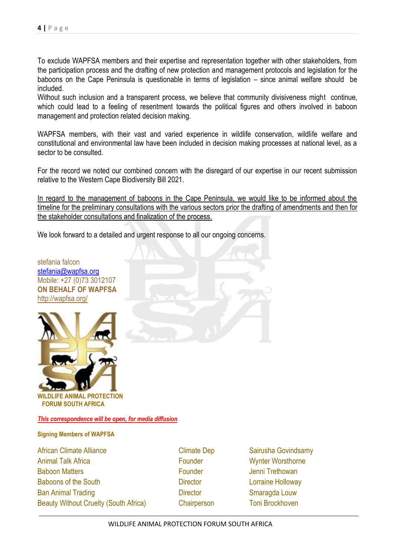To exclude WAPFSA members and their expertise and representation together with other stakeholders, from the participation process and the drafting of new protection and management protocols and legislation for the baboons on the Cape Peninsula is questionable in terms of legislation – since animal welfare should be included.

Without such inclusion and a transparent process, we believe that community divisiveness might continue, which could lead to a feeling of resentment towards the political figures and others involved in baboon management and protection related decision making.

WAPFSA members, with their vast and varied experience in wildlife conservation, wildlife welfare and constitutional and environmental law have been included in decision making processes at national level, as a sector to be consulted.

For the record we noted our combined concern with the disregard of our expertise in our recent submission relative to the Western Cape Biodiversity Bill 2021.

In regard to the management of baboons in the Cape Peninsula, we would like to be informed about the timeline for the preliminary consultations with the various sectors prior the drafting of amendments and then for the stakeholder consultations and finalization of the process.

We look forward to a detailed and urgent response to all our ongoing concerns.

stefania falcon [stefania@wapfsa.org](mailto:stefania@wapfsa.org) Mobile: +27 (0)73 3012107 **ON BEHALF OF WAPFSA**  <http://wapfsa.org/> **WILDLIFE ANIMAL PROTECTION FORUM SOUTH AFRICA** 

*This correspondence will be open, for media diffusion* 

**Signing Members of WAPFSA**

African Climate Alliance **Climate Dep** Sairusha Govindsamy Animal Talk Africa **Founder** Founder Wynter Worsthorne Baboon Matters **Founder** Founder **Jenni Trethowan** Baboons of the South Director Director Lorraine Holloway Ban Animal Trading **Director** Director **Contains Smaragda Louw** Beauty Without Cruelty (South Africa) Chairperson Toni Brockhoven